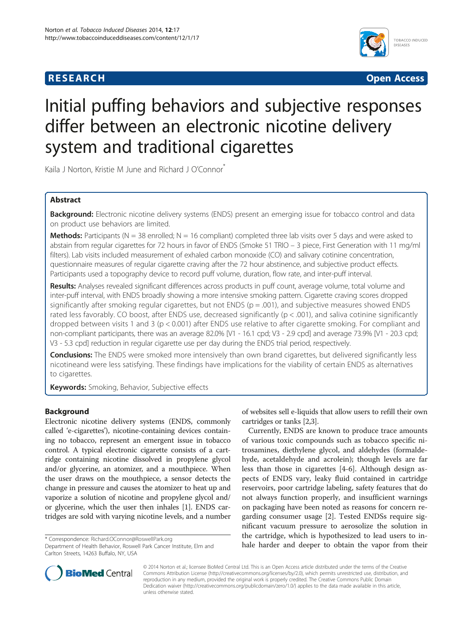## **RESEARCH RESEARCH** *CHECKER CHECKER CHECKER CHECKER CHECKER CHECKER CHECKER CHECKER CHECKER CHECKER CHECKER*



# Initial puffing behaviors and subjective responses differ between an electronic nicotine delivery system and traditional cigarettes

Kaila J Norton, Kristie M June and Richard J O'Connor<sup>\*</sup>

## Abstract

Background: Electronic nicotine delivery systems (ENDS) present an emerging issue for tobacco control and data on product use behaviors are limited.

**Methods:** Participants (N = 38 enrolled; N = 16 compliant) completed three lab visits over 5 days and were asked to abstain from regular cigarettes for 72 hours in favor of ENDS (Smoke 51 TRIO – 3 piece, First Generation with 11 mg/ml filters). Lab visits included measurement of exhaled carbon monoxide (CO) and salivary cotinine concentration, questionnaire measures of regular cigarette craving after the 72 hour abstinence, and subjective product effects. Participants used a topography device to record puff volume, duration, flow rate, and inter-puff interval.

Results: Analyses revealed significant differences across products in puff count, average volume, total volume and inter-puff interval, with ENDS broadly showing a more intensive smoking pattern. Cigarette craving scores dropped significantly after smoking regular cigarettes, but not ENDS ( $p = .001$ ), and subjective measures showed ENDS rated less favorably. CO boost, after ENDS use, decreased significantly ( $p < .001$ ), and saliva cotinine significantly dropped between visits 1 and 3 (p < 0.001) after ENDS use relative to after cigarette smoking. For compliant and non-compliant participants, there was an average 82.0% [V1 - 16.1 cpd; V3 - 2.9 cpd] and average 73.9% [V1 - 20.3 cpd; V3 - 5.3 cpd] reduction in regular cigarette use per day during the ENDS trial period, respectively.

**Conclusions:** The ENDS were smoked more intensively than own brand cigarettes, but delivered significantly less nicotineand were less satisfying. These findings have implications for the viability of certain ENDS as alternatives to cigarettes.

Keywords: Smoking, Behavior, Subjective effects

## Background

Electronic nicotine delivery systems (ENDS, commonly called 'e-cigarettes'), nicotine-containing devices containing no tobacco, represent an emergent issue in tobacco control. A typical electronic cigarette consists of a cartridge containing nicotine dissolved in propylene glycol and/or glycerine, an atomizer, and a mouthpiece. When the user draws on the mouthpiece, a sensor detects the change in pressure and causes the atomizer to heat up and vaporize a solution of nicotine and propylene glycol and/ or glycerine, which the user then inhales [\[1](#page-7-0)]. ENDS cartridges are sold with varying nicotine levels, and a number

Department of Health Behavior, Roswell Park Cancer Institute, Elm and Carlton Streets, 14263 Buffalo, NY, USA

of websites sell e-liquids that allow users to refill their own cartridges or tanks [[2,3](#page-7-0)].

Currently, ENDS are known to produce trace amounts of various toxic compounds such as tobacco specific nitrosamines, diethylene glycol, and aldehydes (formaldehyde, acetaldehyde and acrolein); though levels are far less than those in cigarettes [[4](#page-7-0)-[6\]](#page-7-0). Although design aspects of ENDS vary, leaky fluid contained in cartridge reservoirs, poor cartridge labeling, safety features that do not always function properly, and insufficient warnings on packaging have been noted as reasons for concern regarding consumer usage [[2\]](#page-7-0). Tested ENDSs require significant vacuum pressure to aerosolize the solution in the cartridge, which is hypothesized to lead users to in-\* Correspondence: [Richard.OConnor@RoswellPark.org](mailto:Richard.OConnor@RoswellPark.org) **but the cartridge, which is hypothesized to lead users to in-**<br>Department of Health Behavior, Roswell Park Cancer Institute, Elm and **hale harder and deeper to obtain the** 



© 2014 Norton et al.; licensee BioMed Central Ltd. This is an Open Access article distributed under the terms of the Creative Commons Attribution License [\(http://creativecommons.org/licenses/by/2.0\)](http://creativecommons.org/licenses/by/2.0), which permits unrestricted use, distribution, and reproduction in any medium, provided the original work is properly credited. The Creative Commons Public Domain Dedication waiver [\(http://creativecommons.org/publicdomain/zero/1.0/](http://creativecommons.org/publicdomain/zero/1.0/)) applies to the data made available in this article, unless otherwise stated.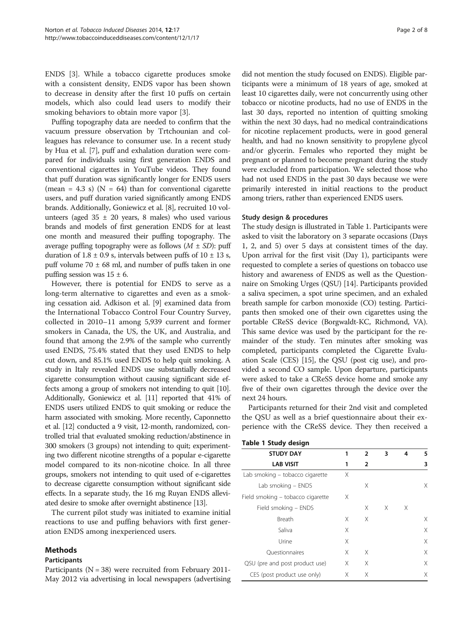ENDS [\[3](#page-7-0)]. While a tobacco cigarette produces smoke with a consistent density, ENDS vapor has been shown to decrease in density after the first 10 puffs on certain models, which also could lead users to modify their smoking behaviors to obtain more vapor [\[3](#page-7-0)].

Puffing topography data are needed to confirm that the vacuum pressure observation by Trtchounian and colleagues has relevance to consumer use. In a recent study by Hua et al. [\[7](#page-7-0)], puff and exhalation duration were compared for individuals using first generation ENDS and conventional cigarettes in YouTube videos. They found that puff duration was significantly longer for ENDS users (mean = 4.3 s) ( $N = 64$ ) than for conventional cigarette users, and puff duration varied significantly among ENDS brands. Additionally, Goniewicz et al. [\[8](#page-7-0)], recruited 10 volunteers (aged  $35 \pm 20$  years, 8 males) who used various brands and models of first generation ENDS for at least one month and measured their puffing topography. The average puffing topography were as follows  $(M \pm SD)$ : puff duration of  $1.8 \pm 0.9$  s, intervals between puffs of  $10 \pm 13$  s, puff volume  $70 \pm 68$  ml, and number of puffs taken in one puffing session was  $15 \pm 6$ .

However, there is potential for ENDS to serve as a long-term alternative to cigarettes and even as a smoking cessation aid. Adkison et al. [[9](#page-7-0)] examined data from the International Tobacco Control Four Country Survey, collected in 2010–11 among 5,939 current and former smokers in Canada, the US, the UK, and Australia, and found that among the 2.9% of the sample who currently used ENDS, 75.4% stated that they used ENDS to help cut down, and 85.1% used ENDS to help quit smoking. A study in Italy revealed ENDS use substantially decreased cigarette consumption without causing significant side effects among a group of smokers not intending to quit [\[10](#page-7-0)]. Additionally, Goniewicz et al. [\[11](#page-7-0)] reported that 41% of ENDS users utilized ENDS to quit smoking or reduce the harm associated with smoking. More recently, Caponnetto et al. [[12\]](#page-7-0) conducted a 9 visit, 12-month, randomized, controlled trial that evaluated smoking reduction/abstinence in 300 smokers (3 groups) not intending to quit; experimenting two different nicotine strengths of a popular e-cigarette model compared to its non-nicotine choice. In all three groups, smokers not intending to quit used of e-cigarettes to decrease cigarette consumption without significant side effects. In a separate study, the 16 mg Ruyan ENDS alleviated desire to smoke after overnight abstinence [[13](#page-7-0)].

The current pilot study was initiated to examine initial reactions to use and puffing behaviors with first generation ENDS among inexperienced users.

## Methods

#### Participants

Participants ( $N = 38$ ) were recruited from February 2011-May 2012 via advertising in local newspapers (advertising

did not mention the study focused on ENDS). Eligible participants were a minimum of 18 years of age, smoked at least 10 cigarettes daily, were not concurrently using other tobacco or nicotine products, had no use of ENDS in the last 30 days, reported no intention of quitting smoking within the next 30 days, had no medical contraindications for nicotine replacement products, were in good general health, and had no known sensitivity to propylene glycol and/or glycerin. Females who reported they might be pregnant or planned to become pregnant during the study were excluded from participation. We selected those who had not used ENDS in the past 30 days because we were primarily interested in initial reactions to the product among triers, rather than experienced ENDS users.

#### Study design & procedures

The study design is illustrated in Table 1. Participants were asked to visit the laboratory on 3 separate occasions (Days 1, 2, and 5) over 5 days at consistent times of the day. Upon arrival for the first visit (Day 1), participants were requested to complete a series of questions on tobacco use history and awareness of ENDS as well as the Questionnaire on Smoking Urges (QSU) [\[14\]](#page-7-0). Participants provided a saliva specimen, a spot urine specimen, and an exhaled breath sample for carbon monoxide (CO) testing. Participants then smoked one of their own cigarettes using the portable CReSS device (Borgwaldt-KC, Richmond, VA). This same device was used by the participant for the remainder of the study. Ten minutes after smoking was completed, participants completed the Cigarette Evaluation Scale (CES) [\[15\]](#page-7-0), the QSU (post cig use), and provided a second CO sample. Upon departure, participants were asked to take a CReSS device home and smoke any five of their own cigarettes through the device over the next 24 hours.

Participants returned for their 2nd visit and completed the QSU as well as a brief questionnaire about their experience with the CReSS device. They then received a

| <b>Table 1 Study design</b><br><b>STUDY DAY</b> | 1 | $\overline{2}$ | 3 | 4 | 5 |
|-------------------------------------------------|---|----------------|---|---|---|
| <b>LAB VISIT</b>                                | 1 | $\overline{2}$ |   |   | 3 |
| Lab smoking - tobacco cigarette                 | Χ |                |   |   |   |
| Lab smoking - ENDS                              |   | Χ              |   |   | Χ |
| Field smoking – tobacco cigarette               | X |                |   |   |   |
| Field smoking - ENDS                            |   | Χ              | Χ | X |   |
| Breath                                          | Χ | X              |   |   | Χ |
| Saliva                                          | Χ |                |   |   | X |
| Urine                                           | Χ |                |   |   | X |
| Ouestionnaires                                  | Χ | Χ              |   |   | X |
| QSU (pre and post product use)                  | Χ | X              |   |   | X |
| CES (post product use only)                     | Х | Х              |   |   | X |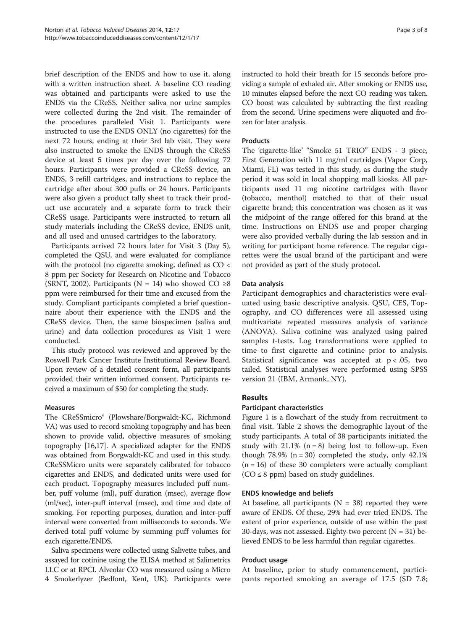brief description of the ENDS and how to use it, along with a written instruction sheet. A baseline CO reading was obtained and participants were asked to use the ENDS via the CReSS. Neither saliva nor urine samples were collected during the 2nd visit. The remainder of the procedures paralleled Visit 1. Participants were instructed to use the ENDS ONLY (no cigarettes) for the next 72 hours, ending at their 3rd lab visit. They were also instructed to smoke the ENDS through the CReSS device at least 5 times per day over the following 72 hours. Participants were provided a CReSS device, an ENDS, 3 refill cartridges, and instructions to replace the cartridge after about 300 puffs or 24 hours. Participants were also given a product tally sheet to track their product use accurately and a separate form to track their CReSS usage. Participants were instructed to return all study materials including the CReSS device, ENDS unit, and all used and unused cartridges to the laboratory.

Participants arrived 72 hours later for Visit 3 (Day 5), completed the QSU, and were evaluated for compliance with the protocol (no cigarette smoking, defined as CO < 8 ppm per Society for Research on Nicotine and Tobacco (SRNT, 2002). Participants (N = 14) who showed CO  $\geq 8$ ppm were reimbursed for their time and excused from the study. Compliant participants completed a brief questionnaire about their experience with the ENDS and the CReSS device. Then, the same biospecimen (saliva and urine) and data collection procedures as Visit 1 were conducted.

This study protocol was reviewed and approved by the Roswell Park Cancer Institute Institutional Review Board. Upon review of a detailed consent form, all participants provided their written informed consent. Participants received a maximum of \$50 for completing the study.

## Measures

The CReSSmicro® (Plowshare/Borgwaldt-KC, Richmond VA) was used to record smoking topography and has been shown to provide valid, objective measures of smoking topography [\[16,17\]](#page-7-0). A specialized adapter for the ENDS was obtained from Borgwaldt-KC and used in this study. CReSSMicro units were separately calibrated for tobacco cigarettes and ENDS, and dedicated units were used for each product. Topography measures included puff number, puff volume (ml), puff duration (msec), average flow (ml/sec), inter-puff interval (msec), and time and date of smoking. For reporting purposes, duration and inter-puff interval were converted from milliseconds to seconds. We derived total puff volume by summing puff volumes for each cigarette/ENDS.

Saliva specimens were collected using Salivette tubes, and assayed for cotinine using the ELISA method at Salimetrics LLC or at RPCI. Alveolar CO was measured using a Micro 4 Smokerlyzer (Bedfont, Kent, UK). Participants were instructed to hold their breath for 15 seconds before providing a sample of exhaled air. After smoking or ENDS use, 10 minutes elapsed before the next CO reading was taken. CO boost was calculated by subtracting the first reading from the second. Urine specimens were aliquoted and frozen for later analysis.

#### Products

The 'cigarette-like' "Smoke 51 TRIO" ENDS - 3 piece, First Generation with 11 mg/ml cartridges (Vapor Corp, Miami, FL) was tested in this study, as during the study period it was sold in local shopping mall kiosks. All participants used 11 mg nicotine cartridges with flavor (tobacco, menthol) matched to that of their usual cigarette brand; this concentration was chosen as it was the midpoint of the range offered for this brand at the time. Instructions on ENDS use and proper charging were also provided verbally during the lab session and in writing for participant home reference. The regular cigarettes were the usual brand of the participant and were not provided as part of the study protocol.

#### Data analysis

Participant demographics and characteristics were evaluated using basic descriptive analysis. QSU, CES, Topography, and CO differences were all assessed using multivariate repeated measures analysis of variance (ANOVA). Saliva cotinine was analyzed using paired samples t-tests. Log transformations were applied to time to first cigarette and cotinine prior to analysis. Statistical significance was accepted at  $p < .05$ , two tailed. Statistical analyses were performed using SPSS version 21 (IBM, Armonk, NY).

## Results

## Participant characteristics

Figure [1](#page-3-0) is a flowchart of the study from recruitment to final visit. Table [2](#page-3-0) shows the demographic layout of the study participants. A total of 38 participants initiated the study with  $21.1\%$  (n = 8) being lost to follow-up. Even though 78.9%  $(n = 30)$  completed the study, only 42.1%  $(n = 16)$  of these 30 completers were actually compliant  $(CO \leq 8$  ppm) based on study guidelines.

#### ENDS knowledge and beliefs

At baseline, all participants ( $N = 38$ ) reported they were aware of ENDS. Of these, 29% had ever tried ENDS. The extent of prior experience, outside of use within the past 30-days, was not assessed. Eighty-two percent  $(N = 31)$  believed ENDS to be less harmful than regular cigarettes.

#### Product usage

At baseline, prior to study commencement, participants reported smoking an average of 17.5 (SD 7.8;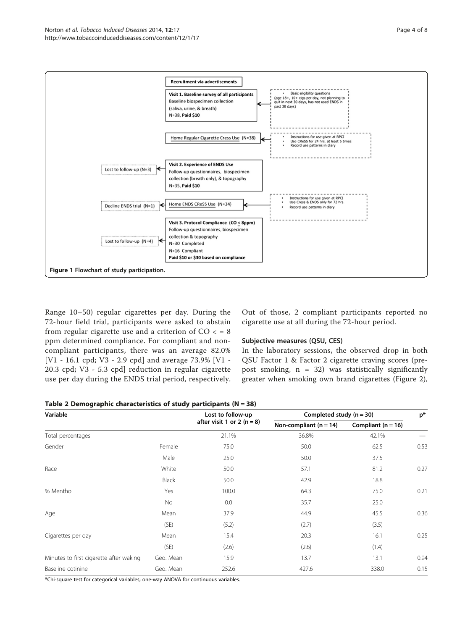<span id="page-3-0"></span>

Range 10–50) regular cigarettes per day. During the 72-hour field trial, participants were asked to abstain from regular cigarette use and a criterion of  $CO < 8$ ppm determined compliance. For compliant and noncompliant participants, there was an average 82.0% [V1 - 16.1 cpd; V3 - 2.9 cpd] and average 73.9% [V1 - 20.3 cpd; V3 - 5.3 cpd] reduction in regular cigarette use per day during the ENDS trial period, respectively.

Out of those, 2 compliant participants reported no cigarette use at all during the 72-hour period.

## Subjective measures (QSU, CES)

In the laboratory sessions, the observed drop in both QSU Factor 1 & Factor 2 cigarette craving scores (prepost smoking,  $n = 32$ ) was statistically significantly greater when smoking own brand cigarettes (Figure [2](#page-4-0)),

| Variable                                |           | Lost to follow-up            | Completed study $(n = 30)$ |                        |      |
|-----------------------------------------|-----------|------------------------------|----------------------------|------------------------|------|
|                                         |           | after visit 1 or 2 $(n = 8)$ | Non-compliant $(n = 14)$   | Compliant ( $n = 16$ ) |      |
| Total percentages                       |           | 21.1%                        | 36.8%                      | 42.1%                  |      |
| Gender                                  | Female    | 75.0                         | 50.0                       | 62.5                   | 0.53 |
|                                         | Male      | 25.0                         | 50.0                       | 37.5                   |      |
| Race                                    | White     | 50.0                         | 57.1                       | 81.2                   | 0.27 |
|                                         | Black     | 50.0                         | 42.9                       | 18.8                   |      |
| % Menthol                               | Yes       | 100.0                        | 64.3                       | 75.0                   | 0.21 |
|                                         | No.       | 0.0                          | 35.7                       | 25.0                   |      |
| Age                                     | Mean      | 37.9                         | 44.9                       | 45.5                   | 0.36 |
|                                         | (SE)      | (5.2)                        | (2.7)                      | (3.5)                  |      |
| Cigarettes per day                      | Mean      | 15.4                         | 20.3                       | 16.1                   | 0.25 |
|                                         | (SE)      | (2.6)                        | (2.6)                      | (1.4)                  |      |
| Minutes to first cigarette after waking | Geo. Mean | 15.9                         | 13.7                       | 13.1                   | 0.94 |
| Baseline cotinine                       | Geo. Mean | 252.6                        | 427.6                      | 338.0                  | 0.15 |

\*Chi-square test for categorical variables; one-way ANOVA for continuous variables.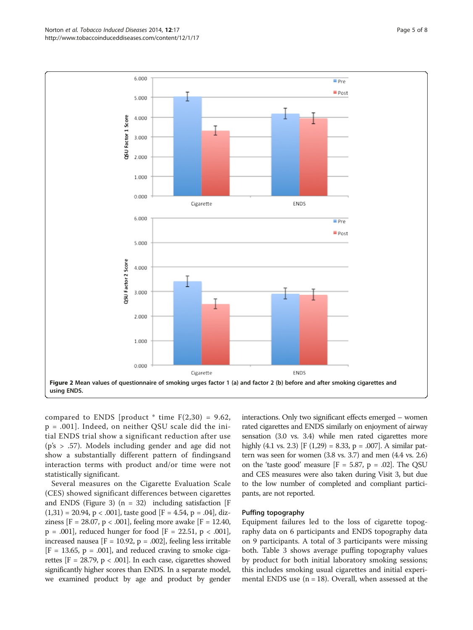<span id="page-4-0"></span>

compared to ENDS [product  $*$  time  $F(2,30) = 9.62$ , p = .001]. Indeed, on neither QSU scale did the initial ENDS trial show a significant reduction after use (p's > .57). Models including gender and age did not show a substantially different pattern of findingsand interaction terms with product and/or time were not statistically significant.

Several measures on the Cigarette Evaluation Scale (CES) showed significant differences between cigarettes and ENDS (Figure [3\)](#page-5-0)  $(n = 32)$  including satisfaction [F]  $(1,31) = 20.94$ , p < .001], taste good [F = 4.54, p = .04], dizziness [F = 28.07, p < .001], feeling more awake [F = 12.40,  $p = .001$ , reduced hunger for food [F = 22.51,  $p < .001$ ], increased nausea [ $F = 10.92$ ,  $p = .002$ ], feeling less irritable  $[F = 13.65, p = .001]$ , and reduced craving to smoke cigarettes  $[F = 28.79, p < .001]$ . In each case, cigarettes showed significantly higher scores than ENDS. In a separate model, we examined product by age and product by gender

interactions. Only two significant effects emerged – women rated cigarettes and ENDS similarly on enjoyment of airway sensation (3.0 vs. 3.4) while men rated cigarettes more highly (4.1 vs. 2.3) [F (1,29) = 8.33, p = .007]. A similar pattern was seen for women (3.8 vs. 3.7) and men (4.4 vs. 2.6) on the 'taste good' measure  $[F = 5.87, p = .02]$ . The QSU and CES measures were also taken during Visit 3, but due to the low number of completed and compliant participants, are not reported.

## Puffing topography

Equipment failures led to the loss of cigarette topography data on 6 participants and ENDS topography data on 9 participants. A total of 3 participants were missing both. Table [3](#page-5-0) shows average puffing topography values by product for both initial laboratory smoking sessions; this includes smoking usual cigarettes and initial experimental ENDS use  $(n = 18)$ . Overall, when assessed at the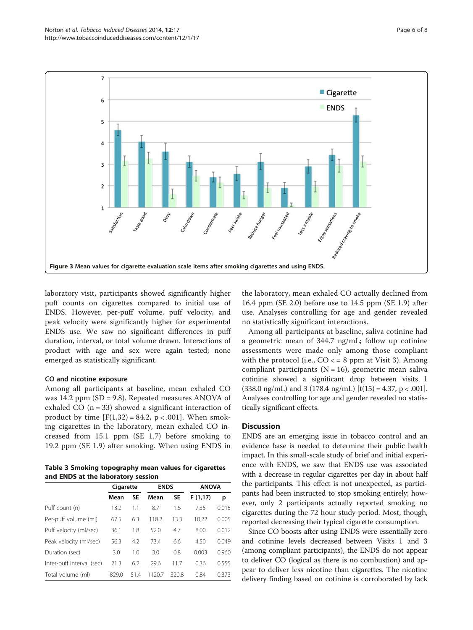<span id="page-5-0"></span>

laboratory visit, participants showed significantly higher puff counts on cigarettes compared to initial use of ENDS. However, per-puff volume, puff velocity, and peak velocity were significantly higher for experimental ENDS use. We saw no significant differences in puff duration, interval, or total volume drawn. Interactions of product with age and sex were again tested; none emerged as statistically significant.

#### CO and nicotine exposure

Among all participants at baseline, mean exhaled CO was 14.2 ppm (SD = 9.8). Repeated measures ANOVA of exhaled CO  $(n = 33)$  showed a significant interaction of product by time  $[F(1,32) = 84.2, p < .001]$ . When smoking cigarettes in the laboratory, mean exhaled CO increased from 15.1 ppm (SE 1.7) before smoking to 19.2 ppm (SE 1.9) after smoking. When using ENDS in

Table 3 Smoking topography mean values for cigarettes and ENDS at the laboratory session

|                           | Cigarette |      | <b>ENDS</b> |       | <b>ANOVA</b> |       |
|---------------------------|-----------|------|-------------|-------|--------------|-------|
|                           | Mean      | SE   | Mean        | SE    | F(1,17)      | р     |
| Puff count (n)            | 13.2      | 1.1  | 8.7         | 1.6   | 7.35         | 0.015 |
| Per-puff volume (ml)      | 67.5      | 6.3  | 118.2       | 13.3  | 10.22        | 0.005 |
| Puff velocity (ml/sec)    | 36.1      | 1.8  | 52.0        | 4.7   | 8.00         | 0.012 |
| Peak velocity (ml/sec)    | 56.3      | 4.2  | 73.4        | 6.6   | 4.50         | 0.049 |
| Duration (sec)            | 3.0       | 1.0  | 3.0         | 0.8   | 0.003        | 0.960 |
| Inter-puff interval (sec) | 21.3      | 6.2  | 29.6        | 11.7  | 0.36         | 0.555 |
| Total volume (ml)         | 829.0     | 51.4 | 1120.7      | 320.8 | 0.84         | 0.373 |

the laboratory, mean exhaled CO actually declined from 16.4 ppm (SE 2.0) before use to 14.5 ppm (SE 1.9) after use. Analyses controlling for age and gender revealed no statistically significant interactions.

Among all participants at baseline, saliva cotinine had a geometric mean of 344.7 ng/mL; follow up cotinine assessments were made only among those compliant with the protocol (i.e.,  $CO \leq 8$  ppm at Visit 3). Among compliant participants  $(N = 16)$ , geometric mean saliva cotinine showed a significant drop between visits 1  $(338.0 \text{ ng/mL})$  and 3  $(178.4 \text{ ng/mL})$  [t(15) = 4.37, p < .001]. Analyses controlling for age and gender revealed no statistically significant effects.

## **Discussion**

ENDS are an emerging issue in tobacco control and an evidence base is needed to determine their public health impact. In this small-scale study of brief and initial experience with ENDS, we saw that ENDS use was associated with a decrease in regular cigarettes per day in about half the participants. This effect is not unexpected, as participants had been instructed to stop smoking entirely; however, only 2 participants actually reported smoking no cigarettes during the 72 hour study period. Most, though, reported decreasing their typical cigarette consumption.

Since CO boosts after using ENDS were essentially zero and cotinine levels decreased between Visits 1 and 3 (among compliant participants), the ENDS do not appear to deliver CO (logical as there is no combustion) and appear to deliver less nicotine than cigarettes. The nicotine delivery finding based on cotinine is corroborated by lack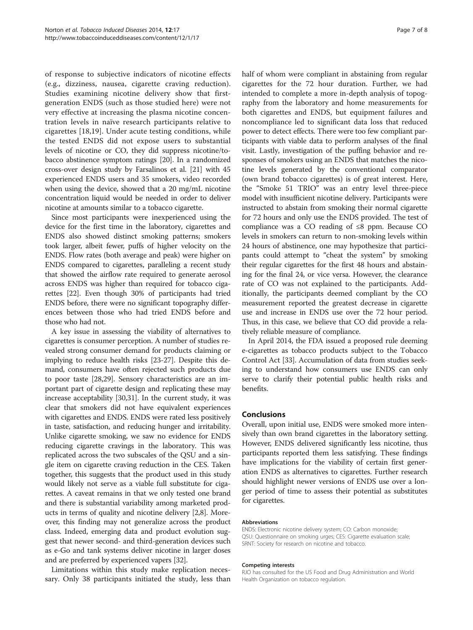of response to subjective indicators of nicotine effects (e.g., dizziness, nausea, cigarette craving reduction). Studies examining nicotine delivery show that firstgeneration ENDS (such as those studied here) were not very effective at increasing the plasma nicotine concentration levels in naïve research participants relative to cigarettes [[18,19\]](#page-7-0). Under acute testing conditions, while the tested ENDS did not expose users to substantial levels of nicotine or CO, they did suppress nicotine/tobacco abstinence symptom ratings [\[20\]](#page-7-0). In a randomized cross-over design study by Farsalinos et al. [\[21\]](#page-7-0) with 45 experienced ENDS users and 35 smokers, video recorded when using the device, showed that a 20 mg/mL nicotine concentration liquid would be needed in order to deliver nicotine at amounts similar to a tobacco cigarette.

Since most participants were inexperienced using the device for the first time in the laboratory, cigarettes and ENDS also showed distinct smoking patterns; smokers took larger, albeit fewer, puffs of higher velocity on the ENDS. Flow rates (both average and peak) were higher on ENDS compared to cigarettes, paralleling a recent study that showed the airflow rate required to generate aerosol across ENDS was higher than required for tobacco cigarettes [\[22\]](#page-7-0). Even though 30% of participants had tried ENDS before, there were no significant topography differences between those who had tried ENDS before and those who had not.

A key issue in assessing the viability of alternatives to cigarettes is consumer perception. A number of studies revealed strong consumer demand for products claiming or implying to reduce health risks [\[23-27\]](#page-7-0). Despite this demand, consumers have often rejected such products due to poor taste [\[28,29\]](#page-7-0). Sensory characteristics are an important part of cigarette design and replicating these may increase acceptability [[30,31\]](#page-7-0). In the current study, it was clear that smokers did not have equivalent experiences with cigarettes and ENDS. ENDS were rated less positively in taste, satisfaction, and reducing hunger and irritability. Unlike cigarette smoking, we saw no evidence for ENDS reducing cigarette cravings in the laboratory. This was replicated across the two subscales of the QSU and a single item on cigarette craving reduction in the CES. Taken together, this suggests that the product used in this study would likely not serve as a viable full substitute for cigarettes. A caveat remains in that we only tested one brand and there is substantial variability among marketed products in terms of quality and nicotine delivery [\[2,8\]](#page-7-0). Moreover, this finding may not generalize across the product class. Indeed, emerging data and product evolution suggest that newer second- and third-generation devices such as e-Go and tank systems deliver nicotine in larger doses and are preferred by experienced vapers [[32](#page-7-0)].

Limitations within this study make replication necessary. Only 38 participants initiated the study, less than half of whom were compliant in abstaining from regular cigarettes for the 72 hour duration. Further, we had intended to complete a more in-depth analysis of topography from the laboratory and home measurements for both cigarettes and ENDS, but equipment failures and noncompliance led to significant data loss that reduced power to detect effects. There were too few compliant participants with viable data to perform analyses of the final visit. Lastly, investigation of the puffing behavior and responses of smokers using an ENDS that matches the nicotine levels generated by the conventional comparator (own brand tobacco cigarettes) is of great interest. Here, the "Smoke 51 TRIO" was an entry level three-piece model with insufficient nicotine delivery. Participants were instructed to abstain from smoking their normal cigarette for 72 hours and only use the ENDS provided. The test of compliance was a CO reading of ≤8 ppm. Because CO levels in smokers can return to non-smoking levels within 24 hours of abstinence, one may hypothesize that participants could attempt to "cheat the system" by smoking their regular cigarettes for the first 48 hours and abstaining for the final 24, or vice versa. However, the clearance rate of CO was not explained to the participants. Additionally, the participants deemed compliant by the CO measurement reported the greatest decrease in cigarette use and increase in ENDS use over the 72 hour period. Thus, in this case, we believe that CO did provide a relatively reliable measure of compliance.

In April 2014, the FDA issued a proposed rule deeming e-cigarettes as tobacco products subject to the Tobacco Control Act [[33](#page-7-0)]. Accumulation of data from studies seeking to understand how consumers use ENDS can only serve to clarify their potential public health risks and benefits.

#### Conclusions

Overall, upon initial use, ENDS were smoked more intensively than own brand cigarettes in the laboratory setting. However, ENDS delivered significantly less nicotine, thus participants reported them less satisfying. These findings have implications for the viability of certain first generation ENDS as alternatives to cigarettes. Further research should highlight newer versions of ENDS use over a longer period of time to assess their potential as substitutes for cigarettes.

#### Abbreviations

ENDS: Electronic nicotine delivery system; CO: Carbon monoxide; QSU: Questionnaire on smoking urges; CES: Cigarette evaluation scale; SRNT: Society for research on nicotine and tobacco.

#### Competing interests

RJO has consulted for the US Food and Drug Administration and World Health Organization on tobacco regulation.